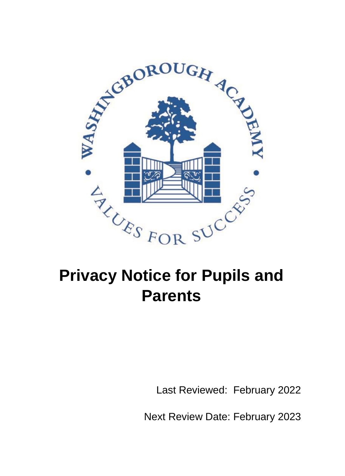

# **Privacy Notice for Pupils and Parents**

Last Reviewed: February 2022

Next Review Date: February 2023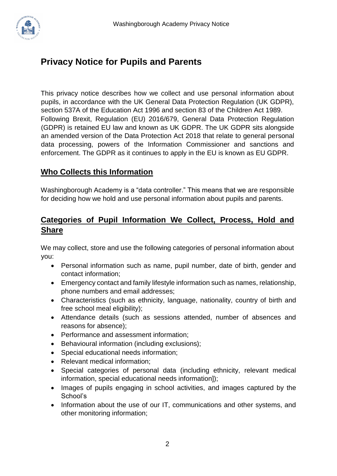

# **Privacy Notice for Pupils and Parents**

This privacy notice describes how we collect and use personal information about pupils, in accordance with the UK General Data Protection Regulation (UK GDPR), section 537A of the Education Act 1996 and section 83 of the Children Act 1989. Following Brexit, Regulation (EU) 2016/679, General Data Protection Regulation (GDPR) is retained EU law and known as UK GDPR. The UK GDPR sits alongside an amended version of the Data Protection Act 2018 that relate to general personal data processing, powers of the Information Commissioner and sanctions and enforcement. The GDPR as it continues to apply in the EU is known as EU GDPR.

#### **Who Collects this Information**

Washingborough Academy is a "data controller." This means that we are responsible for deciding how we hold and use personal information about pupils and parents.

#### **Categories of Pupil Information We Collect, Process, Hold and Share**

We may collect, store and use the following categories of personal information about you:

- Personal information such as name, pupil number, date of birth, gender and contact information;
- Emergency contact and family lifestyle information such as names, relationship, phone numbers and email addresses;
- Characteristics (such as ethnicity, language, nationality, country of birth and free school meal eligibility);
- Attendance details (such as sessions attended, number of absences and reasons for absence);
- Performance and assessment information;
- Behavioural information (including exclusions);
- Special educational needs information;
- Relevant medical information;
- Special categories of personal data (including ethnicity, relevant medical information, special educational needs information]);
- Images of pupils engaging in school activities, and images captured by the School's
- Information about the use of our IT, communications and other systems, and other monitoring information;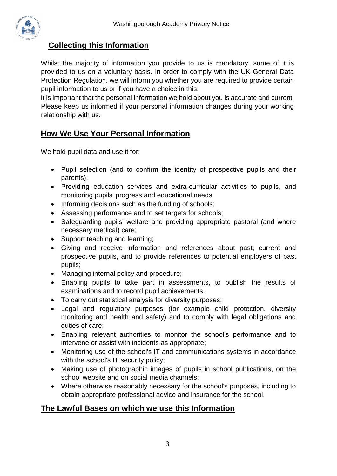

### **Collecting this Information**

Whilst the majority of information you provide to us is mandatory, some of it is provided to us on a voluntary basis. In order to comply with the UK General Data Protection Regulation, we will inform you whether you are required to provide certain pupil information to us or if you have a choice in this.

It is important that the personal information we hold about you is accurate and current. Please keep us informed if your personal information changes during your working relationship with us.

#### **How We Use Your Personal Information**

We hold pupil data and use it for:

- Pupil selection (and to confirm the identity of prospective pupils and their parents);
- Providing education services and extra-curricular activities to pupils, and monitoring pupils' progress and educational needs;
- Informing decisions such as the funding of schools;
- Assessing performance and to set targets for schools;
- Safeguarding pupils' welfare and providing appropriate pastoral (and where necessary medical) care;
- Support teaching and learning;
- Giving and receive information and references about past, current and prospective pupils, and to provide references to potential employers of past pupils;
- Managing internal policy and procedure;
- Enabling pupils to take part in assessments, to publish the results of examinations and to record pupil achievements;
- To carry out statistical analysis for diversity purposes;
- Legal and regulatory purposes (for example child protection, diversity monitoring and health and safety) and to comply with legal obligations and duties of care;
- Enabling relevant authorities to monitor the school's performance and to intervene or assist with incidents as appropriate;
- Monitoring use of the school's IT and communications systems in accordance with the school's IT security policy;
- Making use of photographic images of pupils in school publications, on the school website and on social media channels;
- Where otherwise reasonably necessary for the school's purposes, including to obtain appropriate professional advice and insurance for the school.

#### **The Lawful Bases on which we use this Information**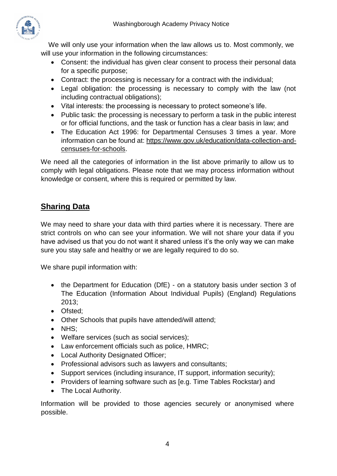

We will only use your information when the law allows us to. Most commonly, we will use your information in the following circumstances:

- Consent: the individual has given clear consent to process their personal data for a specific purpose;
- Contract: the processing is necessary for a contract with the individual;
- Legal obligation: the processing is necessary to comply with the law (not including contractual obligations);
- Vital interests: the processing is necessary to protect someone's life.
- Public task: the processing is necessary to perform a task in the public interest or for official functions, and the task or function has a clear basis in law; and
- The Education Act 1996: for Departmental Censuses 3 times a year. More information can be found at: [https://www.gov.uk/education/data-collection-and](https://www.gov.uk/education/data-collection-and-censuses-for-schools)[censuses-for-schools.](https://www.gov.uk/education/data-collection-and-censuses-for-schools)

We need all the categories of information in the list above primarily to allow us to comply with legal obligations. Please note that we may process information without knowledge or consent, where this is required or permitted by law.

# **Sharing Data**

We may need to share your data with third parties where it is necessary. There are strict controls on who can see your information. We will not share your data if you have advised us that you do not want it shared unless it's the only way we can make sure you stay safe and healthy or we are legally required to do so.

We share pupil information with:

- the Department for Education (DfE) on a statutory basis under section 3 of The Education (Information About Individual Pupils) (England) Regulations 2013;
- Ofsted;
- Other Schools that pupils have attended/will attend;
- NHS;
- Welfare services (such as social services);
- Law enforcement officials such as police, HMRC;
- Local Authority Designated Officer;
- Professional advisors such as lawyers and consultants;
- Support services (including insurance, IT support, information security);
- Providers of learning software such as [e.g. Time Tables Rockstar) and
- The Local Authority.

Information will be provided to those agencies securely or anonymised where possible.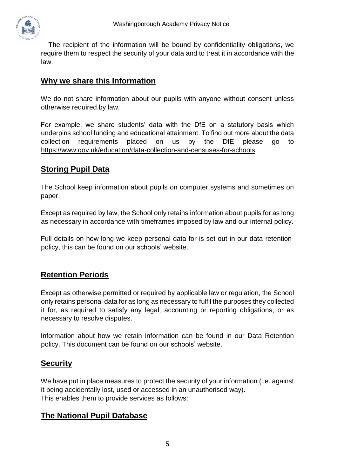

The recipient of the information will be bound by confidentiality obligations, we require them to respect the security of your data and to treat it in accordance with the law.

#### **Why we share this Information**

We do not share information about our pupils with anyone without consent unless otherwise required by law.

For example, we share students' data with the DfE on a statutory basis which underpins school funding and educational attainment. To find out more about the data collection requirements placed on us by the DfE please go to [https://www.gov.uk/education/data-collection-and-censuses-for-schools.](https://www.gov.uk/education/data-collection-and-censuses-for-schools)

#### **Storing Pupil Data**

The School keep information about pupils on computer systems and sometimes on paper.

Except as required by law, the School only retains information about pupils for as long as necessary in accordance with timeframes imposed by law and our internal policy.

Full details on how long we keep personal data for is set out in our data retention policy, this can be found on our schools' website.

#### **Retention Periods**

Except as otherwise permitted or required by applicable law or regulation, the School only retains personal data for as long as necessary to fulfil the purposes they collected it for, as required to satisfy any legal, accounting or reporting obligations, or as necessary to resolve disputes.

Information about how we retain information can be found in our Data Retention policy. This document can be found on our schools' website.

#### **Security**

We have put in place measures to protect the security of your information (i.e. against it being accidentally lost, used or accessed in an unauthorised way). This enables them to provide services as follows:

#### **The National Pupil Database**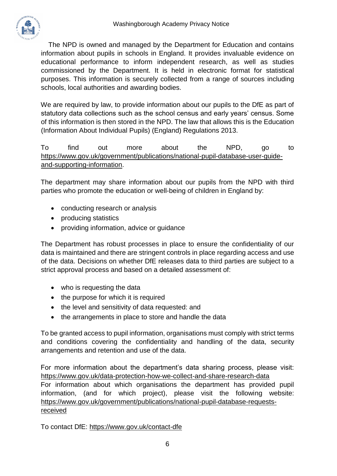

The NPD is owned and managed by the Department for Education and contains information about pupils in schools in England. It provides invaluable evidence on educational performance to inform independent research, as well as studies commissioned by the Department. It is held in electronic format for statistical purposes. This information is securely collected from a range of sources including schools, local authorities and awarding bodies.

We are required by law, to provide information about our pupils to the DfE as part of statutory data collections such as the school census and early years' census. Some of this information is then stored in the NPD. The law that allows this is the Education (Information About Individual Pupils) (England) Regulations 2013.

To find out more about the NPD, go to [https://www.gov.uk/government/publications/national-pupil-database-user-guide](https://www.gov.uk/government/publications/national-pupil-database-user-guide-and-supporting-information)[and-supporting-information.](https://www.gov.uk/government/publications/national-pupil-database-user-guide-and-supporting-information)

The department may share information about our pupils from the NPD with third parties who promote the education or well-being of children in England by:

- conducting research or analysis
- producing statistics
- providing information, advice or guidance

The Department has robust processes in place to ensure the confidentiality of our data is maintained and there are stringent controls in place regarding access and use of the data. Decisions on whether DfE releases data to third parties are subject to a strict approval process and based on a detailed assessment of:

- who is requesting the data
- the purpose for which it is required
- the level and sensitivity of data requested: and
- the arrangements in place to store and handle the data

To be granted access to pupil information, organisations must comply with strict terms and conditions covering the confidentiality and handling of the data, security arrangements and retention and use of the data.

For more information about the department's data sharing process, please visit: <https://www.gov.uk/data-protection-how-we-collect-and-share-research-data> For information about which organisations the department has provided pupil information, (and for which project), please visit the following website: [https://www.gov.uk/government/publications/national-pupil-database-requests](https://www.gov.uk/government/publications/national-pupil-database-requests-received)[received](https://www.gov.uk/government/publications/national-pupil-database-requests-received)

To contact DfE:<https://www.gov.uk/contact-dfe>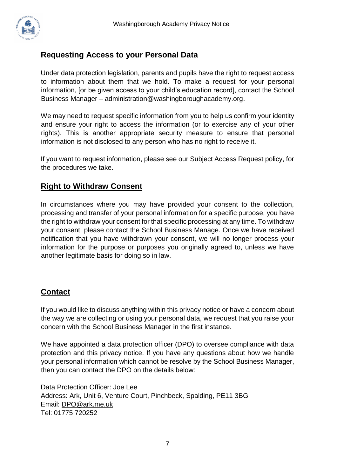

#### **Requesting Access to your Personal Data**

Under data protection legislation, parents and pupils have the right to request access to information about them that we hold. To make a request for your personal information, [or be given access to your child's education record], contact the School Business Manager – [administration@washingboroughacademy.org.](mailto:administration@washingboroughacademy.org)

We may need to request specific information from you to help us confirm your identity and ensure your right to access the information (or to exercise any of your other rights). This is another appropriate security measure to ensure that personal information is not disclosed to any person who has no right to receive it.

If you want to request information, please see our Subject Access Request policy, for the procedures we take.

#### **Right to Withdraw Consent**

In circumstances where you may have provided your consent to the collection, processing and transfer of your personal information for a specific purpose, you have the right to withdraw your consent for that specific processing at any time. To withdraw your consent, please contact the School Business Manage. Once we have received notification that you have withdrawn your consent, we will no longer process your information for the purpose or purposes you originally agreed to, unless we have another legitimate basis for doing so in law.

#### **Contact**

If you would like to discuss anything within this privacy notice or have a concern about the way we are collecting or using your personal data, we request that you raise your concern with the School Business Manager in the first instance.

We have appointed a data protection officer (DPO) to oversee compliance with data protection and this privacy notice. If you have any questions about how we handle your personal information which cannot be resolve by the School Business Manager, then you can contact the DPO on the details below:

Data Protection Officer: Joe Lee Address: Ark, Unit 6, Venture Court, Pinchbeck, Spalding, PE11 3BG Email: [DPO@ark.me.uk](mailto:DPO@ark.me.uk) Tel: 01775 720252